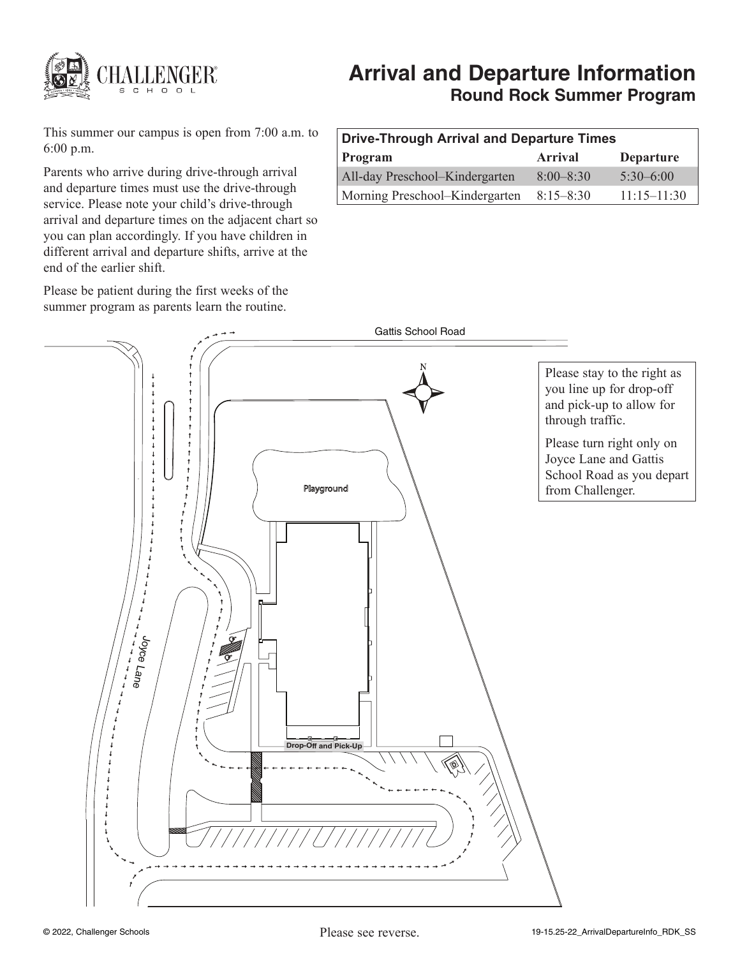

# **Arrival and Departure Information Round Rock Summer Program**

This summer our campus is open from 7:00 a.m. to 6:00 p.m.

Parents who arrive during drive-through arrival and departure times must use the drive-through service. Please note your child's drive-through arrival and departure times on the adjacent chart so you can plan accordingly. If you have children in different arrival and departure shifts, arrive at the end of the earlier shift.

Please be patient during the first weeks of the summer program as parents learn the routine.

# **Drive-Through Arrival and Departure Times Program Arrival Departure** All-day Preschool–Kindergarten 8:00–8:30 5:30–6:00 Morning Preschool–Kindergarten 8:15–8:30 11:15–11:30